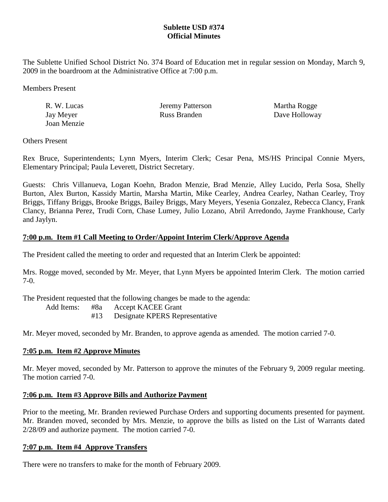# **Sublette USD #374 Official Minutes**

The Sublette Unified School District No. 374 Board of Education met in regular session on Monday, March 9, 2009 in the boardroom at the Administrative Office at 7:00 p.m.

Members Present

| R. W. Lucas | Jeremy Patterson | Martha Rogge  |
|-------------|------------------|---------------|
| Jay Meyer   | Russ Branden     | Dave Holloway |
| Joan Menzie |                  |               |

Others Present

Rex Bruce, Superintendents; Lynn Myers, Interim Clerk; Cesar Pena, MS/HS Principal Connie Myers, Elementary Principal; Paula Leverett, District Secretary.

Guests: Chris Villanueva, Logan Koehn, Bradon Menzie, Brad Menzie, Alley Lucido, Perla Sosa, Shelly Burton, Alex Burton, Kassidy Martin, Marsha Martin, Mike Cearley, Andrea Cearley, Nathan Cearley, Troy Briggs, Tiffany Briggs, Brooke Briggs, Bailey Briggs, Mary Meyers, Yesenia Gonzalez, Rebecca Clancy, Frank Clancy, Brianna Perez, Trudi Corn, Chase Lumey, Julio Lozano, Abril Arredondo, Jayme Frankhouse, Carly and Jaylyn.

# **7:00 p.m. Item #1 Call Meeting to Order/Appoint Interim Clerk/Approve Agenda**

The President called the meeting to order and requested that an Interim Clerk be appointed:

Mrs. Rogge moved, seconded by Mr. Meyer, that Lynn Myers be appointed Interim Clerk. The motion carried 7-0.

The President requested that the following changes be made to the agenda:

Add Items: #8a Accept KACEE Grant

#13 Designate KPERS Representative

Mr. Meyer moved, seconded by Mr. Branden, to approve agenda as amended. The motion carried 7-0.

# **7:05 p.m. Item #2 Approve Minutes**

Mr. Meyer moved, seconded by Mr. Patterson to approve the minutes of the February 9, 2009 regular meeting. The motion carried 7-0.

# **7:06 p.m. Item #3 Approve Bills and Authorize Payment**

Prior to the meeting, Mr. Branden reviewed Purchase Orders and supporting documents presented for payment. Mr. Branden moved, seconded by Mrs. Menzie, to approve the bills as listed on the List of Warrants dated 2/28/09 and authorize payment. The motion carried 7-0.

# **7:07 p.m. Item #4 Approve Transfers**

There were no transfers to make for the month of February 2009.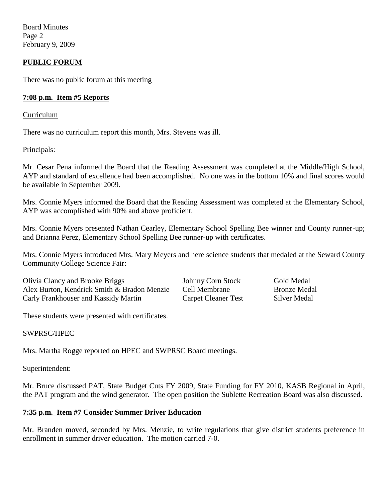Board Minutes Page 2 February 9, 2009

## **PUBLIC FORUM**

There was no public forum at this meeting

## **7:08 p.m. Item #5 Reports**

Curriculum

There was no curriculum report this month, Mrs. Stevens was ill.

#### Principals:

Mr. Cesar Pena informed the Board that the Reading Assessment was completed at the Middle/High School, AYP and standard of excellence had been accomplished. No one was in the bottom 10% and final scores would be available in September 2009.

Mrs. Connie Myers informed the Board that the Reading Assessment was completed at the Elementary School, AYP was accomplished with 90% and above proficient.

Mrs. Connie Myers presented Nathan Cearley, Elementary School Spelling Bee winner and County runner-up; and Brianna Perez, Elementary School Spelling Bee runner-up with certificates.

Mrs. Connie Myers introduced Mrs. Mary Meyers and here science students that medaled at the Seward County Community College Science Fair:

Olivia Clancy and Brooke Briggs Johnny Corn Stock Gold Medal Alex Burton, Kendrick Smith & Bradon Menzie Cell Membrane Bronze Medal Carly Frankhouser and Kassidy Martin Carpet Cleaner Test Silver Medal

These students were presented with certificates.

## SWPRSC/HPEC

Mrs. Martha Rogge reported on HPEC and SWPRSC Board meetings.

#### Superintendent:

Mr. Bruce discussed PAT, State Budget Cuts FY 2009, State Funding for FY 2010, KASB Regional in April, the PAT program and the wind generator. The open position the Sublette Recreation Board was also discussed.

## **7:35 p.m. Item #7 Consider Summer Driver Education**

Mr. Branden moved, seconded by Mrs. Menzie, to write regulations that give district students preference in enrollment in summer driver education. The motion carried 7-0.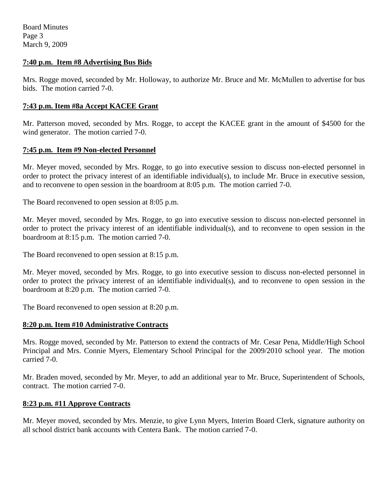Board Minutes Page 3 March 9, 2009

## **7:40 p.m. Item #8 Advertising Bus Bids**

Mrs. Rogge moved, seconded by Mr. Holloway, to authorize Mr. Bruce and Mr. McMullen to advertise for bus bids. The motion carried 7-0.

## **7:43 p.m. Item #8a Accept KACEE Grant**

Mr. Patterson moved, seconded by Mrs. Rogge, to accept the KACEE grant in the amount of \$4500 for the wind generator. The motion carried 7-0.

## **7:45 p.m. Item #9 Non-elected Personnel**

Mr. Meyer moved, seconded by Mrs. Rogge, to go into executive session to discuss non-elected personnel in order to protect the privacy interest of an identifiable individual(s), to include Mr. Bruce in executive session, and to reconvene to open session in the boardroom at 8:05 p.m. The motion carried 7-0.

The Board reconvened to open session at 8:05 p.m.

Mr. Meyer moved, seconded by Mrs. Rogge, to go into executive session to discuss non-elected personnel in order to protect the privacy interest of an identifiable individual(s), and to reconvene to open session in the boardroom at 8:15 p.m. The motion carried 7-0.

The Board reconvened to open session at 8:15 p.m.

Mr. Meyer moved, seconded by Mrs. Rogge, to go into executive session to discuss non-elected personnel in order to protect the privacy interest of an identifiable individual(s), and to reconvene to open session in the boardroom at 8:20 p.m. The motion carried 7-0.

The Board reconvened to open session at 8:20 p.m.

## **8:20 p.m. Item #10 Administrative Contracts**

Mrs. Rogge moved, seconded by Mr. Patterson to extend the contracts of Mr. Cesar Pena, Middle/High School Principal and Mrs. Connie Myers, Elementary School Principal for the 2009/2010 school year. The motion carried 7-0.

Mr. Braden moved, seconded by Mr. Meyer, to add an additional year to Mr. Bruce, Superintendent of Schools, contract. The motion carried 7-0.

# **8:23 p.m. #11 Approve Contracts**

Mr. Meyer moved, seconded by Mrs. Menzie, to give Lynn Myers, Interim Board Clerk, signature authority on all school district bank accounts with Centera Bank. The motion carried 7-0.